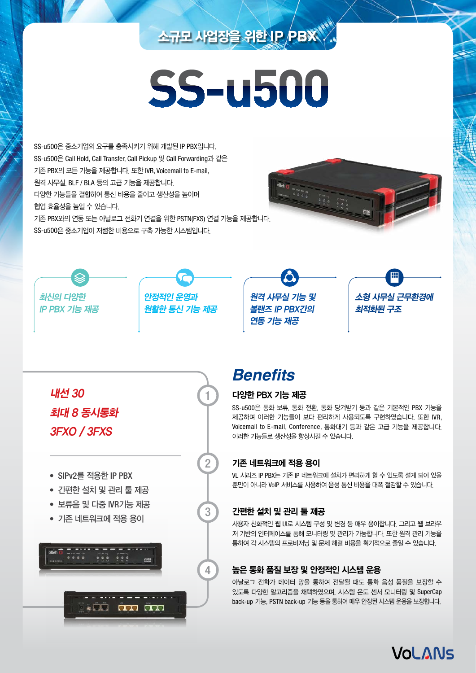# 소규모 사업장을 위한 **IP PBX**

# **SS-u500**

SS-u500은 중소기업의 요구를 충족시키기 위해 개발된 IP PBX입니다. SS-u500은 Call Hold, Call Transfer, Call Pickup 및 Call Forwarding과 같은 기존 PBX의 모든 기능을 제공합니다. 또한 IVR, Voicemail to E-mail, 원격 사무실, BLF / BLA 등의 고급 기능을 제공합니다. 다양한 기능들을 결합하여 통신 비용을 줄이고 생산성을 높이며 협업 효율성을 높일 수 있습니다. 기존 PBX와의 연동 또는 아날로그 전화기 연결을 위한 PSTN(FXS) 연결 기능을 제공합니다.

SS-u500은 중소기업이 저렴한 비용으로 구축 가능한 시스템입니다.



최신의 다양한 IP PBX 기능 제공



1

2

3

원격 사무실 기능 및 볼랜즈 IP PBX간의 연동 기능 제공



내선 30 최대 8 동시통화 3FXO / 3FXS

- SIPv2를 적용한 IP PBX
- 간편한 설치 및 관리 툴 제공
- 보류음 및 다중 IVR기능 제공
- 기존 네트워크에 적용 용이



# **Benefits**

### 다양한 PBX 기능 제공

SS-u500은 통화 보류, 통화 전환, 통화 당겨받기 등과 같은 기본적인 PBX 기능을 제공하며 이러한 기능들이 보다 편리하게 사용되도록 구현하였습니다. 또한 IVR, Voicemail to E-mail, Conference, 통화대기 등과 같은 고급 기능을 제공합니다. 이러한 기능들로 생산성을 향상시킬 수 있습니다.

## 기존 네트워크에 적용 용이

VL 시리즈 IP PBX는 기존 IP 네트워크에 설치가 편리하게 할 수 있도록 설계 되어 있을 뿐만이 아니라 VoIP 서비스를 사용하여 음성 통신 비용을 대폭 절감할 수 있습니다.

## 간편한 설치 및 관리 툴 제공

사용자 친화적인 웹 UI로 시스템 구성 및 변경 등 매우 용이합니다. 그리고 웹 브라우 저 기반의 인터페이스를 통해 모니터링 및 관리가 가능합니다. 또한 원격 관리 기능을 통하여 각 시스템의 프로비저닝 및 문제 해결 비용을 획기적으로 줄일 수 있습니다.

## 높은 통화 품질 보장 및 안정적인 시스템 운용

아날로그 전화가 데이터 망을 통하여 전달될 때도 통화 음성 품질을 보장할 수 있도록 다양한 알고리즘을 채택하였으며, 시스템 온도 센서 모니터링 및 SuperCap back-up 기능, PSTN back-up 기능 등을 통하여 매우 안정된 시스템 운용을 보장합니다.

VOLANS